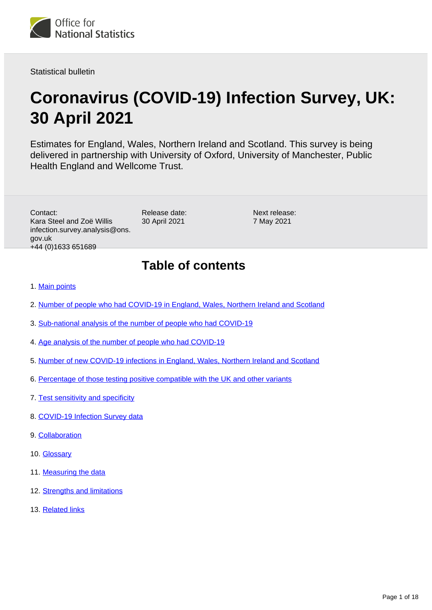

Statistical bulletin

# **Coronavirus (COVID-19) Infection Survey, UK: 30 April 2021**

Estimates for England, Wales, Northern Ireland and Scotland. This survey is being delivered in partnership with University of Oxford, University of Manchester, Public Health England and Wellcome Trust.

Contact: Kara Steel and Zoë Willis infection.survey.analysis@ons. gov.uk +44 (0)1633 651689

Release date: 30 April 2021

Next release: 7 May 2021

# **Table of contents**

### 1. [Main points](#page-1-0)

- 2. [Number of people who had COVID-19 in England, Wales, Northern Ireland and Scotland](#page-2-0)
- 3. [Sub-national analysis of the number of people who had COVID-19](#page-4-0)
- 4. [Age analysis of the number of people who had COVID-19](#page-5-0)
- 5. [Number of new COVID-19 infections in England, Wales, Northern Ireland and Scotland](#page-6-0)
- 6. [Percentage of those testing positive compatible with the UK and other variants](#page-8-0)
- 7. [Test sensitivity and specificity](#page-9-0)
- 8. [COVID-19 Infection Survey data](#page-10-0)
- 9. [Collaboration](#page-10-1)
- 10. [Glossary](#page-10-2)
- 11. [Measuring the data](#page-11-0)
- 12. [Strengths and limitations](#page-14-0)
- 13. [Related links](#page-15-0)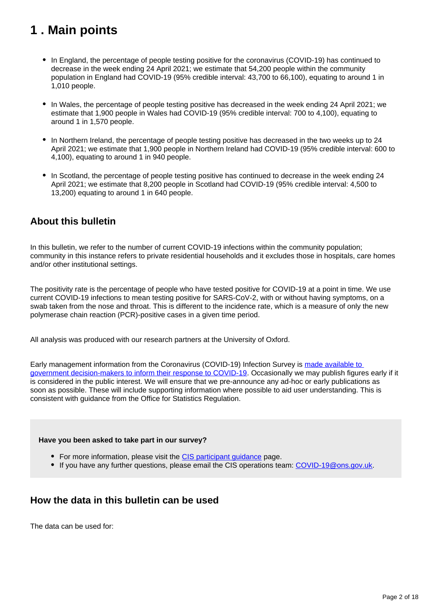# <span id="page-1-0"></span>**1 . Main points**

- In England, the percentage of people testing positive for the coronavirus (COVID-19) has continued to decrease in the week ending 24 April 2021; we estimate that 54,200 people within the community population in England had COVID-19 (95% credible interval: 43,700 to 66,100), equating to around 1 in 1,010 people.
- In Wales, the percentage of people testing positive has decreased in the week ending 24 April 2021; we estimate that 1,900 people in Wales had COVID-19 (95% credible interval: 700 to 4,100), equating to around 1 in 1,570 people.
- In Northern Ireland, the percentage of people testing positive has decreased in the two weeks up to 24 April 2021; we estimate that 1,900 people in Northern Ireland had COVID-19 (95% credible interval: 600 to 4,100), equating to around 1 in 940 people.
- In Scotland, the percentage of people testing positive has continued to decrease in the week ending 24 April 2021; we estimate that 8,200 people in Scotland had COVID-19 (95% credible interval: 4,500 to 13,200) equating to around 1 in 640 people.

## **About this bulletin**

In this bulletin, we refer to the number of current COVID-19 infections within the community population; community in this instance refers to private residential households and it excludes those in hospitals, care homes and/or other institutional settings.

The positivity rate is the percentage of people who have tested positive for COVID-19 at a point in time. We use current COVID-19 infections to mean testing positive for SARS-CoV-2, with or without having symptoms, on a swab taken from the nose and throat. This is different to the incidence rate, which is a measure of only the new polymerase chain reaction (PCR)-positive cases in a given time period.

All analysis was produced with our research partners at the University of Oxford.

Early management information from the Coronavirus (COVID-19) Infection Survey is [made available to](https://www.ons.gov.uk/news/statementsandletters/provisionofearlymanagementinformationbytheonstoinformoperationaldecisionmakingforthepublicgoodduringthecoronaviruspandemic)  [government decision-makers to inform their response to COVID-19.](https://www.ons.gov.uk/news/statementsandletters/provisionofearlymanagementinformationbytheonstoinformoperationaldecisionmakingforthepublicgoodduringthecoronaviruspandemic) Occasionally we may publish figures early if it is considered in the public interest. We will ensure that we pre-announce any ad-hoc or early publications as soon as possible. These will include supporting information where possible to aid user understanding. This is consistent with guidance from the Office for Statistics Regulation.

### **Have you been asked to take part in our survey?**

- For more information, please visit the CIS participant quidance page.
- If you have any further questions, please email the CIS operations team: [COVID-19@ons.gov.uk](mailto:COVID-19@ons.gov.uk).

## **How the data in this bulletin can be used**

The data can be used for: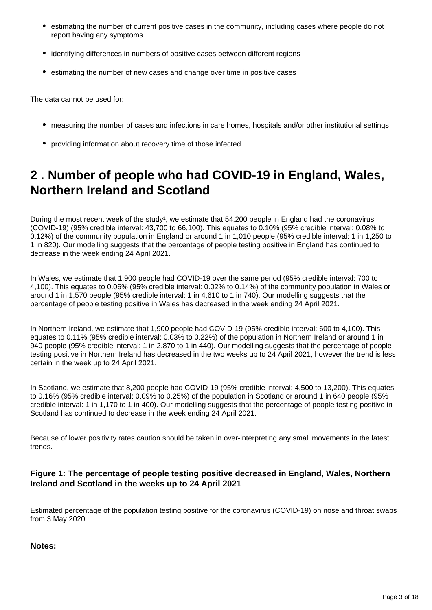- estimating the number of current positive cases in the community, including cases where people do not report having any symptoms
- identifying differences in numbers of positive cases between different regions
- estimating the number of new cases and change over time in positive cases

The data cannot be used for:

- measuring the number of cases and infections in care homes, hospitals and/or other institutional settings
- providing information about recovery time of those infected

# <span id="page-2-0"></span>**2 . Number of people who had COVID-19 in England, Wales, Northern Ireland and Scotland**

During the most recent week of the study<sup>1</sup>, we estimate that  $54.200$  people in England had the coronavirus (COVID-19) (95% credible interval: 43,700 to 66,100). This equates to 0.10% (95% credible interval: 0.08% to 0.12%) of the community population in England or around 1 in 1,010 people (95% credible interval: 1 in 1,250 to 1 in 820). Our modelling suggests that the percentage of people testing positive in England has continued to decrease in the week ending 24 April 2021.

In Wales, we estimate that 1,900 people had COVID-19 over the same period (95% credible interval: 700 to 4,100). This equates to 0.06% (95% credible interval: 0.02% to 0.14%) of the community population in Wales or around 1 in 1,570 people (95% credible interval: 1 in 4,610 to 1 in 740). Our modelling suggests that the percentage of people testing positive in Wales has decreased in the week ending 24 April 2021.

In Northern Ireland, we estimate that 1,900 people had COVID-19 (95% credible interval: 600 to 4,100). This equates to 0.11% (95% credible interval: 0.03% to 0.22%) of the population in Northern Ireland or around 1 in 940 people (95% credible interval: 1 in 2,870 to 1 in 440). Our modelling suggests that the percentage of people testing positive in Northern Ireland has decreased in the two weeks up to 24 April 2021, however the trend is less certain in the week up to 24 April 2021.

In Scotland, we estimate that 8,200 people had COVID-19 (95% credible interval: 4,500 to 13,200). This equates to 0.16% (95% credible interval: 0.09% to 0.25%) of the population in Scotland or around 1 in 640 people (95% credible interval: 1 in 1,170 to 1 in 400). Our modelling suggests that the percentage of people testing positive in Scotland has continued to decrease in the week ending 24 April 2021.

Because of lower positivity rates caution should be taken in over-interpreting any small movements in the latest trends.

### **Figure 1: The percentage of people testing positive decreased in England, Wales, Northern Ireland and Scotland in the weeks up to 24 April 2021**

Estimated percentage of the population testing positive for the coronavirus (COVID-19) on nose and throat swabs from 3 May 2020

### **Notes:**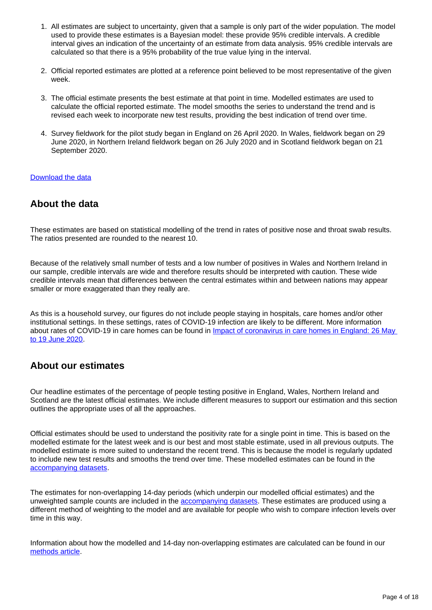- 1. All estimates are subject to uncertainty, given that a sample is only part of the wider population. The model used to provide these estimates is a Bayesian model: these provide 95% credible intervals. A credible interval gives an indication of the uncertainty of an estimate from data analysis. 95% credible intervals are calculated so that there is a 95% probability of the true value lying in the interval.
- 2. Official reported estimates are plotted at a reference point believed to be most representative of the given week.
- 3. The official estimate presents the best estimate at that point in time. Modelled estimates are used to calculate the official reported estimate. The model smooths the series to understand the trend and is revised each week to incorporate new test results, providing the best indication of trend over time.
- 4. Survey fieldwork for the pilot study began in England on 26 April 2020. In Wales, fieldwork began on 29 June 2020, in Northern Ireland fieldwork began on 26 July 2020 and in Scotland fieldwork began on 21 September 2020.

### [Download the data](https://www.ons.gov.uk/visualisations/dvc1337/officialestimates/datadownload.xlsx)

## **About the data**

These estimates are based on statistical modelling of the trend in rates of positive nose and throat swab results. The ratios presented are rounded to the nearest 10.

Because of the relatively small number of tests and a low number of positives in Wales and Northern Ireland in our sample, credible intervals are wide and therefore results should be interpreted with caution. These wide credible intervals mean that differences between the central estimates within and between nations may appear smaller or more exaggerated than they really are.

As this is a household survey, our figures do not include people staying in hospitals, care homes and/or other institutional settings. In these settings, rates of COVID-19 infection are likely to be different. More information about rates of COVID-19 in care homes can be found in Impact of coronavirus in care homes in England: 26 May [to 19 June 2020](https://www.ons.gov.uk/peoplepopulationandcommunity/healthandsocialcare/conditionsanddiseases/articles/impactofcoronavirusincarehomesinenglandvivaldi/latest).

## **About our estimates**

Our headline estimates of the percentage of people testing positive in England, Wales, Northern Ireland and Scotland are the latest official estimates. We include different measures to support our estimation and this section outlines the appropriate uses of all the approaches.

Official estimates should be used to understand the positivity rate for a single point in time. This is based on the modelled estimate for the latest week and is our best and most stable estimate, used in all previous outputs. The modelled estimate is more suited to understand the recent trend. This is because the model is regularly updated to include new test results and smooths the trend over time. These modelled estimates can be found in the [accompanying datasets.](https://www.ons.gov.uk/peoplepopulationandcommunity/healthandsocialcare/conditionsanddiseases/bulletins/coronaviruscovid19infectionsurveypilot/30april2021/relateddata)

The estimates for non-overlapping 14-day periods (which underpin our modelled official estimates) and the unweighted sample counts are included in the **accompanying datasets**. These estimates are produced using a different method of weighting to the model and are available for people who wish to compare infection levels over time in this way.

Information about how the modelled and 14-day non-overlapping estimates are calculated can be found in our [methods article](https://www.ons.gov.uk/peoplepopulationandcommunity/healthandsocialcare/conditionsanddiseases/methodologies/covid19infectionsurveypilotmethodsandfurtherinformation#14-day-estimates).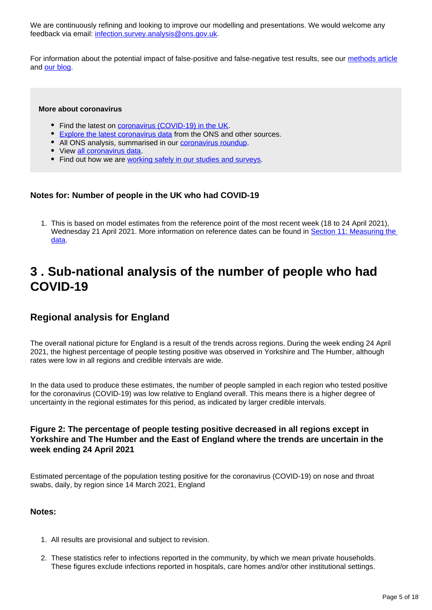We are continuously refining and looking to improve our modelling and presentations. We would welcome any feedback via email: [infection.survey.analysis@ons.gov.uk](mailto:infection.survey.analysis@ons.gov.uk).

For information about the potential impact of false-positive and false-negative test results, see our [methods article](https://www.ons.gov.uk/peoplepopulationandcommunity/healthandsocialcare/conditionsanddiseases/methodologies/covid19infectionsurveypilotmethodsandfurtherinformation#test-sensitivity-and-specificity) and [our blog.](https://blog.ons.gov.uk/2021/04/09/accuracy-and-confidence-why-we-trust-the-data-from-the-covid-19-infection-survey/)

#### **More about coronavirus**

- Find the latest on [coronavirus \(COVID-19\) in the UK.](https://www.ons.gov.uk/peoplepopulationandcommunity/healthandsocialcare/conditionsanddiseases)
- [Explore the latest coronavirus data](https://www.ons.gov.uk/peoplepopulationandcommunity/healthandsocialcare/conditionsanddiseases/articles/coronaviruscovid19/latestinsights) from the ONS and other sources.
- All ONS analysis, summarised in our [coronavirus roundup.](https://www.ons.gov.uk/peoplepopulationandcommunity/healthandsocialcare/conditionsanddiseases/articles/coronaviruscovid19roundup/latest)
- View [all coronavirus data](https://www.ons.gov.uk/peoplepopulationandcommunity/healthandsocialcare/conditionsanddiseases/datalist).
- Find out how we are [working safely in our studies and surveys.](https://www.ons.gov.uk/news/statementsandletters/ensuringyoursafetyduringcovid19)

### **Notes for: Number of people in the UK who had COVID-19**

1. This is based on model estimates from the reference point of the most recent week (18 to 24 April 2021), Wednesday 21 April 2021. More information on reference dates can be found in Section 11: Measuring the [data](https://www.ons.gov.uk/peoplepopulationandcommunity/healthandsocialcare/conditionsanddiseases/bulletins/coronaviruscovid19infectionsurveypilot/30april2021#measuring-the-data).

# <span id="page-4-0"></span>**3 . Sub-national analysis of the number of people who had COVID-19**

## **Regional analysis for England**

The overall national picture for England is a result of the trends across regions. During the week ending 24 April 2021, the highest percentage of people testing positive was observed in Yorkshire and The Humber, although rates were low in all regions and credible intervals are wide.

In the data used to produce these estimates, the number of people sampled in each region who tested positive for the coronavirus (COVID-19) was low relative to England overall. This means there is a higher degree of uncertainty in the regional estimates for this period, as indicated by larger credible intervals.

### **Figure 2: The percentage of people testing positive decreased in all regions except in Yorkshire and The Humber and the East of England where the trends are uncertain in the week ending 24 April 2021**

Estimated percentage of the population testing positive for the coronavirus (COVID-19) on nose and throat swabs, daily, by region since 14 March 2021, England

### **Notes:**

- 1. All results are provisional and subject to revision.
- 2. These statistics refer to infections reported in the community, by which we mean private households. These figures exclude infections reported in hospitals, care homes and/or other institutional settings.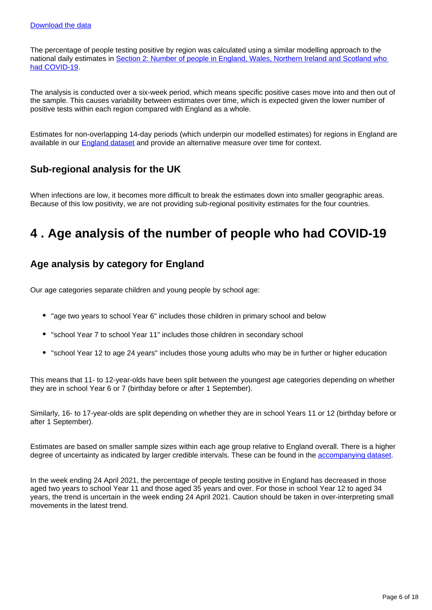The percentage of people testing positive by region was calculated using a similar modelling approach to the national daily estimates in [Section 2: Number of people in England, Wales, Northern Ireland and Scotland who](https://www.ons.gov.uk/peoplepopulationandcommunity/healthandsocialcare/conditionsanddiseases/bulletins/coronaviruscovid19infectionsurveypilot/30april2021#number-of-people-who-had-covid-19-in-england-wales-northern-ireland-and-scotland)  [had COVID-19](https://www.ons.gov.uk/peoplepopulationandcommunity/healthandsocialcare/conditionsanddiseases/bulletins/coronaviruscovid19infectionsurveypilot/30april2021#number-of-people-who-had-covid-19-in-england-wales-northern-ireland-and-scotland).

The analysis is conducted over a six-week period, which means specific positive cases move into and then out of the sample. This causes variability between estimates over time, which is expected given the lower number of positive tests within each region compared with England as a whole.

Estimates for non-overlapping 14-day periods (which underpin our modelled estimates) for regions in England are available in our [England dataset](https://www.ons.gov.uk/peoplepopulationandcommunity/healthandsocialcare/conditionsanddiseases/datasets/coronaviruscovid19infectionsurveydata) and provide an alternative measure over time for context.

## **Sub-regional analysis for the UK**

When infections are low, it becomes more difficult to break the estimates down into smaller geographic areas. Because of this low positivity, we are not providing sub-regional positivity estimates for the four countries.

# <span id="page-5-0"></span>**4 . Age analysis of the number of people who had COVID-19**

## **Age analysis by category for England**

Our age categories separate children and young people by school age:

- "age two years to school Year 6" includes those children in primary school and below
- "school Year 7 to school Year 11" includes those children in secondary school
- "school Year 12 to age 24 years" includes those young adults who may be in further or higher education

This means that 11- to 12-year-olds have been split between the youngest age categories depending on whether they are in school Year 6 or 7 (birthday before or after 1 September).

Similarly, 16- to 17-year-olds are split depending on whether they are in school Years 11 or 12 (birthday before or after 1 September).

Estimates are based on smaller sample sizes within each age group relative to England overall. There is a higher degree of uncertainty as indicated by larger credible intervals. These can be found in the [accompanying dataset.](https://www.ons.gov.uk/peoplepopulationandcommunity/healthandsocialcare/conditionsanddiseases/datasets/coronaviruscovid19infectionsurveydata)

In the week ending 24 April 2021, the percentage of people testing positive in England has decreased in those aged two years to school Year 11 and those aged 35 years and over. For those in school Year 12 to aged 34 years, the trend is uncertain in the week ending 24 April 2021. Caution should be taken in over-interpreting small movements in the latest trend.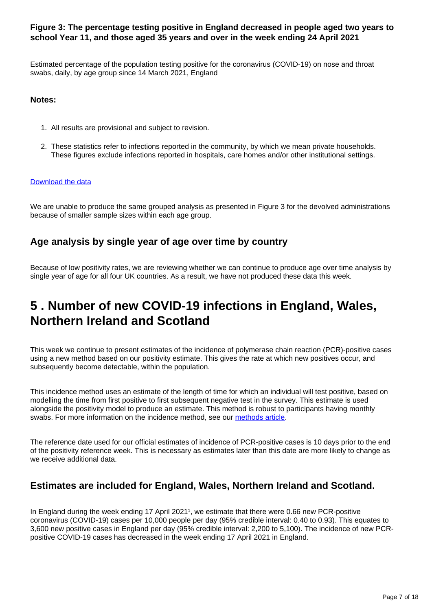### **Figure 3: The percentage testing positive in England decreased in people aged two years to school Year 11, and those aged 35 years and over in the week ending 24 April 2021**

Estimated percentage of the population testing positive for the coronavirus (COVID-19) on nose and throat swabs, daily, by age group since 14 March 2021, England

### **Notes:**

- 1. All results are provisional and subject to revision.
- 2. These statistics refer to infections reported in the community, by which we mean private households. These figures exclude infections reported in hospitals, care homes and/or other institutional settings.

### [Download the data](https://www.ons.gov.uk/visualisations/dvc1337/age/datadownload.xlsx)

We are unable to produce the same grouped analysis as presented in Figure 3 for the devolved administrations because of smaller sample sizes within each age group.

## **Age analysis by single year of age over time by country**

Because of low positivity rates, we are reviewing whether we can continue to produce age over time analysis by single year of age for all four UK countries. As a result, we have not produced these data this week.

# <span id="page-6-0"></span>**5 . Number of new COVID-19 infections in England, Wales, Northern Ireland and Scotland**

This week we continue to present estimates of the incidence of polymerase chain reaction (PCR)-positive cases using a new method based on our positivity estimate. This gives the rate at which new positives occur, and subsequently become detectable, within the population.

This incidence method uses an estimate of the length of time for which an individual will test positive, based on modelling the time from first positive to first subsequent negative test in the survey. This estimate is used alongside the positivity model to produce an estimate. This method is robust to participants having monthly swabs. For more information on the incidence method, see our [methods article.](https://www.ons.gov.uk/peoplepopulationandcommunity/healthandsocialcare/conditionsanddiseases/methodologies/covid19infectionsurveypilotmethodsandfurtherinformation#incidence)

The reference date used for our official estimates of incidence of PCR-positive cases is 10 days prior to the end of the positivity reference week. This is necessary as estimates later than this date are more likely to change as we receive additional data.

## **Estimates are included for England, Wales, Northern Ireland and Scotland.**

In England during the week ending 17 April 2021<sup>1</sup>, we estimate that there were 0.66 new PCR-positive coronavirus (COVID-19) cases per 10,000 people per day (95% credible interval: 0.40 to 0.93). This equates to 3,600 new positive cases in England per day (95% credible interval: 2,200 to 5,100). The incidence of new PCRpositive COVID-19 cases has decreased in the week ending 17 April 2021 in England.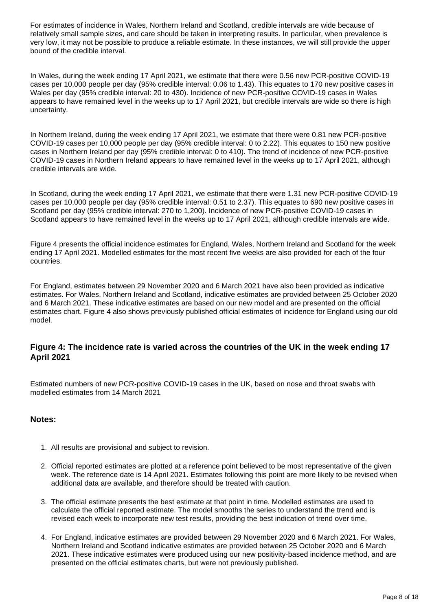For estimates of incidence in Wales, Northern Ireland and Scotland, credible intervals are wide because of relatively small sample sizes, and care should be taken in interpreting results. In particular, when prevalence is very low, it may not be possible to produce a reliable estimate. In these instances, we will still provide the upper bound of the credible interval.

In Wales, during the week ending 17 April 2021, we estimate that there were 0.56 new PCR-positive COVID-19 cases per 10,000 people per day (95% credible interval: 0.06 to 1.43). This equates to 170 new positive cases in Wales per day (95% credible interval: 20 to 430). Incidence of new PCR-positive COVID-19 cases in Wales appears to have remained level in the weeks up to 17 April 2021, but credible intervals are wide so there is high uncertainty.

In Northern Ireland, during the week ending 17 April 2021, we estimate that there were 0.81 new PCR-positive COVID-19 cases per 10,000 people per day (95% credible interval: 0 to 2.22). This equates to 150 new positive cases in Northern Ireland per day (95% credible interval: 0 to 410). The trend of incidence of new PCR-positive COVID-19 cases in Northern Ireland appears to have remained level in the weeks up to 17 April 2021, although credible intervals are wide.

In Scotland, during the week ending 17 April 2021, we estimate that there were 1.31 new PCR-positive COVID-19 cases per 10,000 people per day (95% credible interval: 0.51 to 2.37). This equates to 690 new positive cases in Scotland per day (95% credible interval: 270 to 1,200). Incidence of new PCR-positive COVID-19 cases in Scotland appears to have remained level in the weeks up to 17 April 2021, although credible intervals are wide.

Figure 4 presents the official incidence estimates for England, Wales, Northern Ireland and Scotland for the week ending 17 April 2021. Modelled estimates for the most recent five weeks are also provided for each of the four countries.

For England, estimates between 29 November 2020 and 6 March 2021 have also been provided as indicative estimates. For Wales, Northern Ireland and Scotland, indicative estimates are provided between 25 October 2020 and 6 March 2021. These indicative estimates are based on our new model and are presented on the official estimates chart. Figure 4 also shows previously published official estimates of incidence for England using our old model.

### **Figure 4: The incidence rate is varied across the countries of the UK in the week ending 17 April 2021**

Estimated numbers of new PCR-positive COVID-19 cases in the UK, based on nose and throat swabs with modelled estimates from 14 March 2021

### **Notes:**

- 1. All results are provisional and subject to revision.
- 2. Official reported estimates are plotted at a reference point believed to be most representative of the given week. The reference date is 14 April 2021. Estimates following this point are more likely to be revised when additional data are available, and therefore should be treated with caution.
- 3. The official estimate presents the best estimate at that point in time. Modelled estimates are used to calculate the official reported estimate. The model smooths the series to understand the trend and is revised each week to incorporate new test results, providing the best indication of trend over time.
- 4. For England, indicative estimates are provided between 29 November 2020 and 6 March 2021. For Wales, Northern Ireland and Scotland indicative estimates are provided between 25 October 2020 and 6 March 2021. These indicative estimates were produced using our new positivity-based incidence method, and are presented on the official estimates charts, but were not previously published.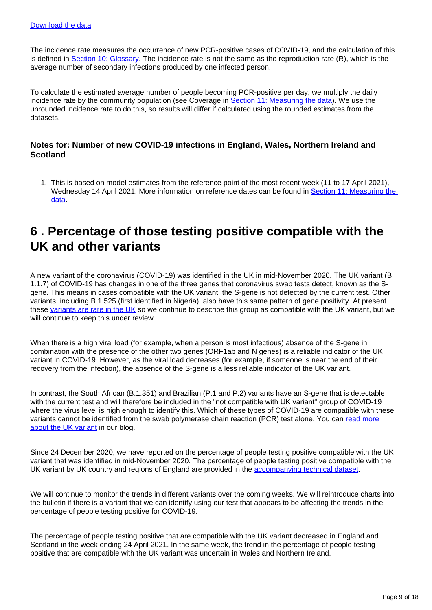The incidence rate measures the occurrence of new PCR-positive cases of COVID-19, and the calculation of this is defined in [Section 10: Glossary.](https://www.ons.gov.uk/peoplepopulationandcommunity/healthandsocialcare/conditionsanddiseases/bulletins/coronaviruscovid19infectionsurveypilot/30april2021#glossary) The incidence rate is not the same as the reproduction rate (R), which is the average number of secondary infections produced by one infected person.

To calculate the estimated average number of people becoming PCR-positive per day, we multiply the daily incidence rate by the community population (see Coverage in [Section 11: Measuring the data\)](https://www.ons.gov.uk/peoplepopulationandcommunity/healthandsocialcare/conditionsanddiseases/bulletins/coronaviruscovid19infectionsurveypilot/30april2021#measuring-the-data). We use the unrounded incidence rate to do this, so results will differ if calculated using the rounded estimates from the datasets.

### **Notes for: Number of new COVID-19 infections in England, Wales, Northern Ireland and Scotland**

1. This is based on model estimates from the reference point of the most recent week (11 to 17 April 2021), Wednesday 14 April 2021. More information on reference dates can be found in [Section 11: Measuring the](https://www.ons.gov.uk/peoplepopulationandcommunity/healthandsocialcare/conditionsanddiseases/bulletins/coronaviruscovid19infectionsurveypilot/30april2021#measuring-the-data)  [data](https://www.ons.gov.uk/peoplepopulationandcommunity/healthandsocialcare/conditionsanddiseases/bulletins/coronaviruscovid19infectionsurveypilot/30april2021#measuring-the-data).

# <span id="page-8-0"></span>**6 . Percentage of those testing positive compatible with the UK and other variants**

A new variant of the coronavirus (COVID-19) was identified in the UK in mid-November 2020. The UK variant (B. 1.1.7) of COVID-19 has changes in one of the three genes that coronavirus swab tests detect, known as the Sgene. This means in cases compatible with the UK variant, the S-gene is not detected by the current test. Other variants, including B.1.525 (first identified in Nigeria), also have this same pattern of gene positivity. At present these [variants are rare in the UK](https://www.gov.uk/government/publications/covid-19-variants-genomically-confirmed-case-numbers/variants-distribution-of-cases-data) so we continue to describe this group as compatible with the UK variant, but we will continue to keep this under review.

When there is a high viral load (for example, when a person is most infectious) absence of the S-gene in combination with the presence of the other two genes (ORF1ab and N genes) is a reliable indicator of the UK variant in COVID-19. However, as the viral load decreases (for example, if someone is near the end of their recovery from the infection), the absence of the S-gene is a less reliable indicator of the UK variant.

In contrast, the South African (B.1.351) and Brazilian (P.1 and P.2) variants have an S-gene that is detectable with the current test and will therefore be included in the "not compatible with UK variant" group of COVID-19 where the virus level is high enough to identify this. Which of these types of COVID-19 are compatible with these variants cannot be identified from the swab polymerase chain reaction (PCR) test alone. You can read more [about the UK variant](https://blog.ons.gov.uk/2021/01/29/understanding-the-uk-variant-how-the-ons-is-monitoring-the-new-strain-of-covid-19/) in our blog.

Since 24 December 2020, we have reported on the percentage of people testing positive compatible with the UK variant that was identified in mid-November 2020. The percentage of people testing positive compatible with the UK variant by UK country and regions of England are provided in the [accompanying technical dataset](https://www.ons.gov.uk/peoplepopulationandcommunity/healthandsocialcare/conditionsanddiseases/datasets/covid19infectionsurveytechnicaldata).

We will continue to monitor the trends in different variants over the coming weeks. We will reintroduce charts into the bulletin if there is a variant that we can identify using our test that appears to be affecting the trends in the percentage of people testing positive for COVID-19.

The percentage of people testing positive that are compatible with the UK variant decreased in England and Scotland in the week ending 24 April 2021. In the same week, the trend in the percentage of people testing positive that are compatible with the UK variant was uncertain in Wales and Northern Ireland.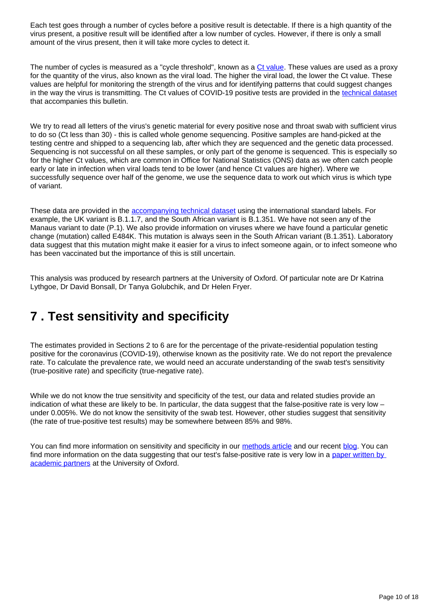Each test goes through a number of cycles before a positive result is detectable. If there is a high quantity of the virus present, a positive result will be identified after a low number of cycles. However, if there is only a small amount of the virus present, then it will take more cycles to detect it.

The number of cycles is measured as a "cycle threshold", known as a [Ct value](https://blog.ons.gov.uk/2021/04/09/accuracy-and-confidence-why-we-trust-the-data-from-the-covid-19-infection-survey/). These values are used as a proxy for the quantity of the virus, also known as the viral load. The higher the viral load, the lower the Ct value. These values are helpful for monitoring the strength of the virus and for identifying patterns that could suggest changes in the way the virus is transmitting. The Ct values of COVID-19 positive tests are provided in the [technical dataset](https://www.ons.gov.uk/peoplepopulationandcommunity/healthandsocialcare/conditionsanddiseases/datasets/covid19infectionsurveytechnicaldata) that accompanies this bulletin.

We try to read all letters of the virus's genetic material for every positive nose and throat swab with sufficient virus to do so (Ct less than 30) - this is called whole genome sequencing. Positive samples are hand-picked at the testing centre and shipped to a sequencing lab, after which they are sequenced and the genetic data processed. Sequencing is not successful on all these samples, or only part of the genome is sequenced. This is especially so for the higher Ct values, which are common in Office for National Statistics (ONS) data as we often catch people early or late in infection when viral loads tend to be lower (and hence Ct values are higher). Where we successfully sequence over half of the genome, we use the sequence data to work out which virus is which type of variant.

These data are provided in the [accompanying technical dataset](https://www.ons.gov.uk/peoplepopulationandcommunity/healthandsocialcare/conditionsanddiseases/datasets/covid19infectionsurveytechnicaldata) using the international standard labels. For example, the UK variant is B.1.1.7, and the South African variant is B.1.351. We have not seen any of the Manaus variant to date (P.1). We also provide information on viruses where we have found a particular genetic change (mutation) called E484K. This mutation is always seen in the South African variant (B.1.351). Laboratory data suggest that this mutation might make it easier for a virus to infect someone again, or to infect someone who has been vaccinated but the importance of this is still uncertain.

This analysis was produced by research partners at the University of Oxford. Of particular note are Dr Katrina Lythgoe, Dr David Bonsall, Dr Tanya Golubchik, and Dr Helen Fryer.

# <span id="page-9-0"></span>**7 . Test sensitivity and specificity**

The estimates provided in Sections 2 to 6 are for the percentage of the private-residential population testing positive for the coronavirus (COVID-19), otherwise known as the positivity rate. We do not report the prevalence rate. To calculate the prevalence rate, we would need an accurate understanding of the swab test's sensitivity (true-positive rate) and specificity (true-negative rate).

While we do not know the true sensitivity and specificity of the test, our data and related studies provide an indication of what these are likely to be. In particular, the data suggest that the false-positive rate is very low – under 0.005%. We do not know the sensitivity of the swab test. However, other studies suggest that sensitivity (the rate of true-positive test results) may be somewhere between 85% and 98%.

You can find more information on sensitivity and specificity in our [methods article](https://www.ons.gov.uk/peoplepopulationandcommunity/healthandsocialcare/conditionsanddiseases/methodologies/covid19infectionsurveypilotmethodsandfurtherinformation#test-sensitivity-and-specificity) and our recent [blog](https://blog.ons.gov.uk/2021/04/09/accuracy-and-confidence-why-we-trust-the-data-from-the-covid-19-infection-survey/). You can find more information on the data suggesting that our test's false-positive rate is very low in a paper written by [academic partners](https://www.medrxiv.org/content/10.1101/2020.10.25.20219048v2) at the University of Oxford.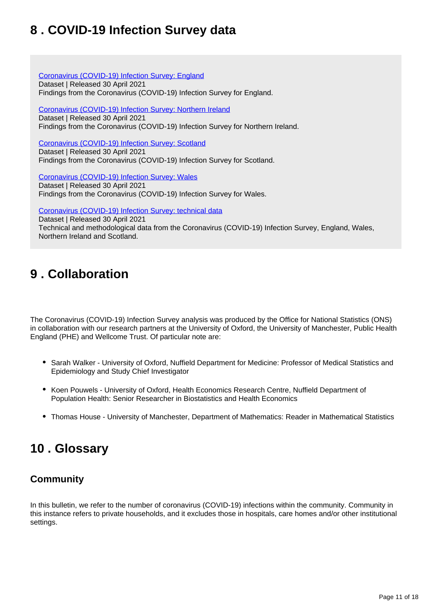# <span id="page-10-0"></span>**8 . COVID-19 Infection Survey data**

[Coronavirus \(COVID-19\) Infection Survey: England](https://www.ons.gov.uk/peoplepopulationandcommunity/healthandsocialcare/conditionsanddiseases/datasets/coronaviruscovid19infectionsurveydata) Dataset | Released 30 April 2021 Findings from the Coronavirus (COVID-19) Infection Survey for England.

[Coronavirus \(COVID-19\) Infection Survey: Northern Ireland](https://www.ons.gov.uk/peoplepopulationandcommunity/healthandsocialcare/conditionsanddiseases/datasets/covid19infectionsurveynorthernireland) Dataset | Released 30 April 2021 Findings from the Coronavirus (COVID-19) Infection Survey for Northern Ireland.

[Coronavirus \(COVID-19\) Infection Survey: Scotland](https://www.ons.gov.uk/peoplepopulationandcommunity/healthandsocialcare/conditionsanddiseases/datasets/covid19infectionsurveyscotland) Dataset | Released 30 April 2021 Findings from the Coronavirus (COVID-19) Infection Survey for Scotland.

[Coronavirus \(COVID-19\) Infection Survey: Wales](https://www.ons.gov.uk/peoplepopulationandcommunity/healthandsocialcare/conditionsanddiseases/datasets/covid19infectionsurveywales) Dataset | Released 30 April 2021

Findings from the Coronavirus (COVID-19) Infection Survey for Wales.

[Coronavirus \(COVID-19\) Infection Survey: technical data](https://www.ons.gov.uk/peoplepopulationandcommunity/healthandsocialcare/conditionsanddiseases/datasets/covid19infectionsurveytechnicaldata)

Dataset | Released 30 April 2021 Technical and methodological data from the Coronavirus (COVID-19) Infection Survey, England, Wales, Northern Ireland and Scotland.

# <span id="page-10-1"></span>**9 . Collaboration**

The Coronavirus (COVID-19) Infection Survey analysis was produced by the Office for National Statistics (ONS) in collaboration with our research partners at the University of Oxford, the University of Manchester, Public Health England (PHE) and Wellcome Trust. Of particular note are:

- Sarah Walker University of Oxford, Nuffield Department for Medicine: Professor of Medical Statistics and Epidemiology and Study Chief Investigator
- Koen Pouwels University of Oxford, Health Economics Research Centre, Nuffield Department of Population Health: Senior Researcher in Biostatistics and Health Economics
- Thomas House University of Manchester, Department of Mathematics: Reader in Mathematical Statistics

# <span id="page-10-2"></span>**10 . Glossary**

## **Community**

In this bulletin, we refer to the number of coronavirus (COVID-19) infections within the community. Community in this instance refers to private households, and it excludes those in hospitals, care homes and/or other institutional settings.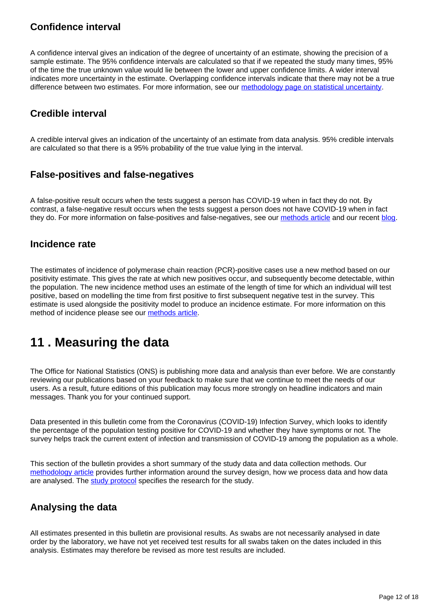## **Confidence interval**

A confidence interval gives an indication of the degree of uncertainty of an estimate, showing the precision of a sample estimate. The 95% confidence intervals are calculated so that if we repeated the study many times, 95% of the time the true unknown value would lie between the lower and upper confidence limits. A wider interval indicates more uncertainty in the estimate. Overlapping confidence intervals indicate that there may not be a true difference between two estimates. For more information, see our [methodology page on statistical uncertainty](https://www.ons.gov.uk/methodology/methodologytopicsandstatisticalconcepts/uncertaintyandhowwemeasureit).

# **Credible interval**

A credible interval gives an indication of the uncertainty of an estimate from data analysis. 95% credible intervals are calculated so that there is a 95% probability of the true value lying in the interval.

## **False-positives and false-negatives**

A false-positive result occurs when the tests suggest a person has COVID-19 when in fact they do not. By contrast, a false-negative result occurs when the tests suggest a person does not have COVID-19 when in fact they do. For more information on false-positives and false-negatives, see our [methods article](https://www.ons.gov.uk/peoplepopulationandcommunity/healthandsocialcare/conditionsanddiseases/methodologies/covid19infectionsurveypilotmethodsandfurtherinformation#test-sensitivity-and-specificity) and our recent [blog](https://blog.ons.gov.uk/2021/04/09/accuracy-and-confidence-why-we-trust-the-data-from-the-covid-19-infection-survey/).

## **Incidence rate**

The estimates of incidence of polymerase chain reaction (PCR)-positive cases use a new method based on our positivity estimate. This gives the rate at which new positives occur, and subsequently become detectable, within the population. The new incidence method uses an estimate of the length of time for which an individual will test positive, based on modelling the time from first positive to first subsequent negative test in the survey. This estimate is used alongside the positivity model to produce an incidence estimate. For more information on this method of incidence please see our [methods article](https://www.ons.gov.uk/peoplepopulationandcommunity/healthandsocialcare/conditionsanddiseases/methodologies/covid19infectionsurveypilotmethodsandfurtherinformation#incidence).

# <span id="page-11-0"></span>**11 . Measuring the data**

The Office for National Statistics (ONS) is publishing more data and analysis than ever before. We are constantly reviewing our publications based on your feedback to make sure that we continue to meet the needs of our users. As a result, future editions of this publication may focus more strongly on headline indicators and main messages. Thank you for your continued support.

Data presented in this bulletin come from the Coronavirus (COVID-19) Infection Survey, which looks to identify the percentage of the population testing positive for COVID-19 and whether they have symptoms or not. The survey helps track the current extent of infection and transmission of COVID-19 among the population as a whole.

This section of the bulletin provides a short summary of the study data and data collection methods. Our [methodology article](https://www.ons.gov.uk/peoplepopulationandcommunity/healthandsocialcare/conditionsanddiseases/methodologies/covid19infectionsurveypilotmethodsandfurtherinformation) provides further information around the survey design, how we process data and how data are analysed. The [study protocol](https://www.ndm.ox.ac.uk/covid-19/covid-19-infection-survey/protocol-and-information-sheets) specifies the research for the study.

## **Analysing the data**

All estimates presented in this bulletin are provisional results. As swabs are not necessarily analysed in date order by the laboratory, we have not yet received test results for all swabs taken on the dates included in this analysis. Estimates may therefore be revised as more test results are included.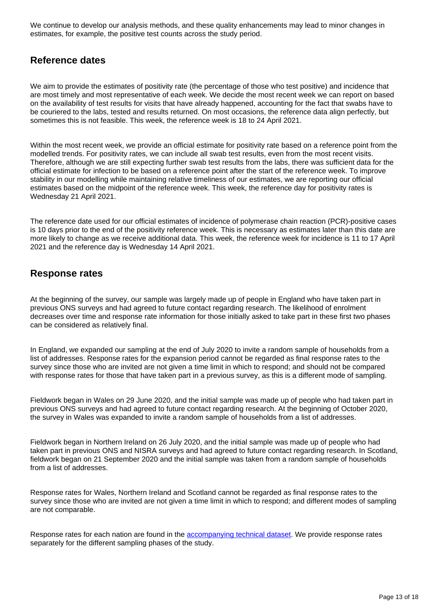We continue to develop our analysis methods, and these quality enhancements may lead to minor changes in estimates, for example, the positive test counts across the study period.

### **Reference dates**

We aim to provide the estimates of positivity rate (the percentage of those who test positive) and incidence that are most timely and most representative of each week. We decide the most recent week we can report on based on the availability of test results for visits that have already happened, accounting for the fact that swabs have to be couriered to the labs, tested and results returned. On most occasions, the reference data align perfectly, but sometimes this is not feasible. This week, the reference week is 18 to 24 April 2021.

Within the most recent week, we provide an official estimate for positivity rate based on a reference point from the modelled trends. For positivity rates, we can include all swab test results, even from the most recent visits. Therefore, although we are still expecting further swab test results from the labs, there was sufficient data for the official estimate for infection to be based on a reference point after the start of the reference week. To improve stability in our modelling while maintaining relative timeliness of our estimates, we are reporting our official estimates based on the midpoint of the reference week. This week, the reference day for positivity rates is Wednesday 21 April 2021.

The reference date used for our official estimates of incidence of polymerase chain reaction (PCR)-positive cases is 10 days prior to the end of the positivity reference week. This is necessary as estimates later than this date are more likely to change as we receive additional data. This week, the reference week for incidence is 11 to 17 April 2021 and the reference day is Wednesday 14 April 2021.

## **Response rates**

At the beginning of the survey, our sample was largely made up of people in England who have taken part in previous ONS surveys and had agreed to future contact regarding research. The likelihood of enrolment decreases over time and response rate information for those initially asked to take part in these first two phases can be considered as relatively final.

In England, we expanded our sampling at the end of July 2020 to invite a random sample of households from a list of addresses. Response rates for the expansion period cannot be regarded as final response rates to the survey since those who are invited are not given a time limit in which to respond; and should not be compared with response rates for those that have taken part in a previous survey, as this is a different mode of sampling.

Fieldwork began in Wales on 29 June 2020, and the initial sample was made up of people who had taken part in previous ONS surveys and had agreed to future contact regarding research. At the beginning of October 2020, the survey in Wales was expanded to invite a random sample of households from a list of addresses.

Fieldwork began in Northern Ireland on 26 July 2020, and the initial sample was made up of people who had taken part in previous ONS and NISRA surveys and had agreed to future contact regarding research. In Scotland, fieldwork began on 21 September 2020 and the initial sample was taken from a random sample of households from a list of addresses.

Response rates for Wales, Northern Ireland and Scotland cannot be regarded as final response rates to the survey since those who are invited are not given a time limit in which to respond; and different modes of sampling are not comparable.

Response rates for each nation are found in the **[accompanying technical dataset](https://www.ons.gov.uk/peoplepopulationandcommunity/healthandsocialcare/conditionsanddiseases/datasets/covid19infectionsurveytechnicaldata)**. We provide response rates separately for the different sampling phases of the study.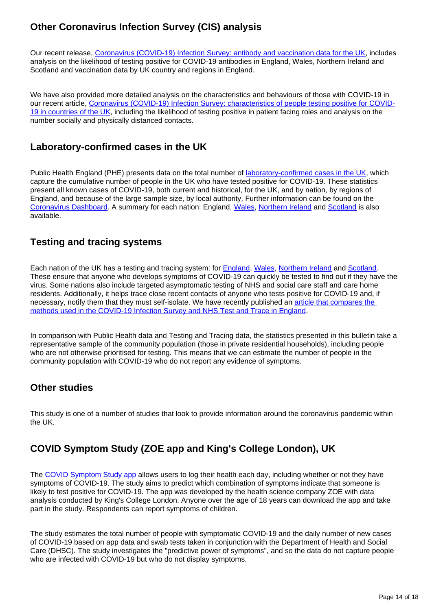# **Other Coronavirus Infection Survey (CIS) analysis**

Our recent release, [Coronavirus \(COVID-19\) Infection Survey: antibody and vaccination data for the UK,](https://www.ons.gov.uk/peoplepopulationandcommunity/healthandsocialcare/conditionsanddiseases/articles/coronaviruscovid19infectionsurveyantibodydatafortheuk/28april2021) includes analysis on the likelihood of testing positive for COVID-19 antibodies in England, Wales, Northern Ireland and Scotland and vaccination data by UK country and regions in England.

We have also provided more detailed analysis on the characteristics and behaviours of those with COVID-19 in our recent article, [Coronavirus \(COVID-19\) Infection Survey: characteristics of people testing positive for COVID-](https://www.ons.gov.uk/peoplepopulationandcommunity/healthandsocialcare/conditionsanddiseases/articles/coronaviruscovid19infectionsinthecommunityinengland/characteristicsofpeopletestingpositiveforcovid19incountriesoftheuk22april2021)[19 in countries of the UK](https://www.ons.gov.uk/peoplepopulationandcommunity/healthandsocialcare/conditionsanddiseases/articles/coronaviruscovid19infectionsinthecommunityinengland/characteristicsofpeopletestingpositiveforcovid19incountriesoftheuk22april2021), including the likelihood of testing positive in patient facing roles and analysis on the number socially and physically distanced contacts.

## **Laboratory-confirmed cases in the UK**

Public Health England (PHE) presents data on the total number of [laboratory-confirmed cases in the UK,](https://coronavirus.data.gov.uk/details/cases) which capture the cumulative number of people in the UK who have tested positive for COVID-19. These statistics present all known cases of COVID-19, both current and historical, for the UK, and by nation, by regions of England, and because of the large sample size, by local authority. Further information can be found on the [Coronavirus Dashboard](https://coronavirus.data.gov.uk/). A summary for each nation: England, [Wales,](https://gov.wales/test-trace-protect-contact-tracing-coronavirus-covid-19) [Northern Ireland](https://app.powerbi.com/view?r=eyJrIjoiZGYxNjYzNmUtOTlmZS00ODAxLWE1YTEtMjA0NjZhMzlmN2JmIiwidCI6IjljOWEzMGRlLWQ4ZDctNGFhNC05NjAwLTRiZTc2MjVmZjZjNSIsImMiOjh9) and [Scotland](https://www.gov.scot/publications/coronavirus-covid-19-daily-data-for-scotland/) is also available.

## **Testing and tracing systems**

Each nation of the UK has a testing and tracing system: for [England,](https://www.gov.uk/guidance/nhs-test-and-trace-how-it-works?priority-taxon=774cee22-d896-44c1-a611-e3109cce8eae) [Wales](https://gov.wales/test-trace-protect-contact-tracing-coronavirus-covid-19), [Northern Ireland](https://www.nidirect.gov.uk/articles/coronavirus-covid-19-testing-and-contact-tracing) and [Scotland](https://www.gov.scot/publications/coronavirus-covid-19-test-trace-isolate-support/). These ensure that anyone who develops symptoms of COVID-19 can quickly be tested to find out if they have the virus. Some nations also include targeted asymptomatic testing of NHS and social care staff and care home residents. Additionally, it helps trace close recent contacts of anyone who tests positive for COVID-19 and, if necessary, notify them that they must self-isolate. We have recently published an article that compares the [methods used in the COVID-19 Infection Survey and NHS Test and Trace in England.](https://www.ons.gov.uk/peoplepopulationandcommunity/healthandsocialcare/conditionsanddiseases/articles/comparingmethodsusedinthecoronaviruscovid19infectionsurveyandnhstestandtraceengland/october2020)

In comparison with Public Health data and Testing and Tracing data, the statistics presented in this bulletin take a representative sample of the community population (those in private residential households), including people who are not otherwise prioritised for testing. This means that we can estimate the number of people in the community population with COVID-19 who do not report any evidence of symptoms.

## **Other studies**

This study is one of a number of studies that look to provide information around the coronavirus pandemic within the UK.

# **COVID Symptom Study (ZOE app and King's College London), UK**

The [COVID Symptom Study app](https://covid.joinzoe.com/) allows users to log their health each day, including whether or not they have symptoms of COVID-19. The study aims to predict which combination of symptoms indicate that someone is likely to test positive for COVID-19. The app was developed by the health science company ZOE with data analysis conducted by King's College London. Anyone over the age of 18 years can download the app and take part in the study. Respondents can report symptoms of children.

The study estimates the total number of people with symptomatic COVID-19 and the daily number of new cases of COVID-19 based on app data and swab tests taken in conjunction with the Department of Health and Social Care (DHSC). The study investigates the "predictive power of symptoms", and so the data do not capture people who are infected with COVID-19 but who do not display symptoms.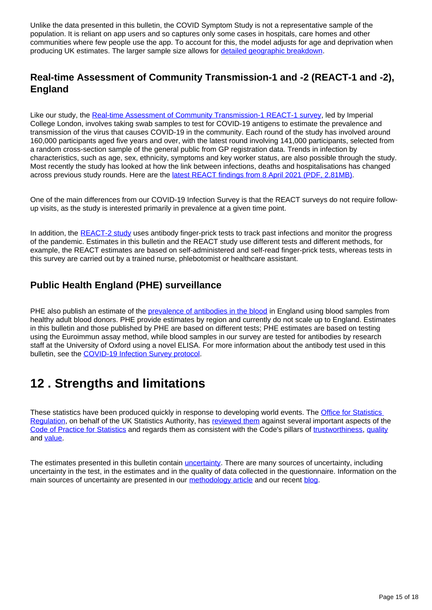Unlike the data presented in this bulletin, the COVID Symptom Study is not a representative sample of the population. It is reliant on app users and so captures only some cases in hospitals, care homes and other communities where few people use the app. To account for this, the model adjusts for age and deprivation when producing UK estimates. The larger sample size allows for [detailed geographic breakdown.](https://covid.joinzoe.com/data)

## **Real-time Assessment of Community Transmission-1 and -2 (REACT-1 and -2), England**

Like our study, the [Real-time Assessment of Community Transmission-1 REACT-1 survey](https://www.imperial.ac.uk/medicine/research-and-impact/groups/react-study/the-react-1-programme/), led by Imperial College London, involves taking swab samples to test for COVID-19 antigens to estimate the prevalence and transmission of the virus that causes COVID-19 in the community. Each round of the study has involved around 160,000 participants aged five years and over, with the latest round involving 141,000 participants, selected from a random cross-section sample of the general public from GP registration data. Trends in infection by characteristics, such as age, sex, ethnicity, symptoms and key worker status, are also possible through the study. Most recently the study has looked at how the link between infections, deaths and hospitalisations has changed across previous study rounds. Here are the [latest REACT findings from 8 April 2021 \(PDF, 2.81MB\).](https://spiral.imperial.ac.uk/bitstream/10044/1/87351/2/react1_r10_preprint.pdf)

One of the main differences from our COVID-19 Infection Survey is that the REACT surveys do not require followup visits, as the study is interested primarily in prevalence at a given time point.

In addition, the [REACT-2 study](https://www.imperial.ac.uk/medicine/research-and-impact/groups/react-study/the-react-2-programme/) uses antibody finger-prick tests to track past infections and monitor the progress of the pandemic. Estimates in this bulletin and the REACT study use different tests and different methods, for example, the REACT estimates are based on self-administered and self-read finger-prick tests, whereas tests in this survey are carried out by a trained nurse, phlebotomist or healthcare assistant.

## **Public Health England (PHE) surveillance**

PHE also publish an estimate of the [prevalence of antibodies in the blood](https://www.gov.uk/government/publications/national-covid-19-surveillance-reports/sero-surveillance-of-covid-19) in England using blood samples from healthy adult blood donors. PHE provide estimates by region and currently do not scale up to England. Estimates in this bulletin and those published by PHE are based on different tests; PHE estimates are based on testing using the Euroimmun assay method, while blood samples in our survey are tested for antibodies by research staff at the University of Oxford using a novel ELISA. For more information about the antibody test used in this bulletin, see the [COVID-19 Infection Survey protocol.](https://www.ndm.ox.ac.uk/protocol-and-information-sheets)

# <span id="page-14-0"></span>**12 . Strengths and limitations**

These statistics have been produced quickly in response to developing world events. The [Office for Statistics](https://osr.statisticsauthority.gov.uk/correspondence/ed-humpherson-to-iain-bell-ons-covid-19-infection-survey-statistics/)  [Regulation](https://osr.statisticsauthority.gov.uk/correspondence/ed-humpherson-to-iain-bell-ons-covid-19-infection-survey-statistics/), on behalf of the UK Statistics Authority, has [reviewed them](https://www.statisticsauthority.gov.uk/correspondence/review-of-coronavirus-covid-19-infection-survey/) against several important aspects of the [Code of Practice for Statistics](https://code.statisticsauthority.gov.uk/)</u> and regards them as consistent with the Code's pillars of [trustworthiness,](https://code.statisticsauthority.gov.uk/the-code/trustworthiness/) [quality](https://code.statisticsauthority.gov.uk/the-code/quality/) and [value.](https://code.statisticsauthority.gov.uk/the-code/value/)

The estimates presented in this bulletin contain *[uncertainty](https://www.ons.gov.uk/methodology/methodologytopicsandstatisticalconcepts/uncertaintyandhowwemeasureit)*. There are many sources of uncertainty, including uncertainty in the test, in the estimates and in the quality of data collected in the questionnaire. Information on the main sources of uncertainty are presented in our [methodology article](https://www.ons.gov.uk/peoplepopulationandcommunity/healthandsocialcare/conditionsanddiseases/methodologies/covid19infectionsurveypilotmethodsandfurtherinformation#uncertainty-in-the-data) and our recent [blog](https://blog.ons.gov.uk/2021/04/09/accuracy-and-confidence-why-we-trust-the-data-from-the-covid-19-infection-survey/).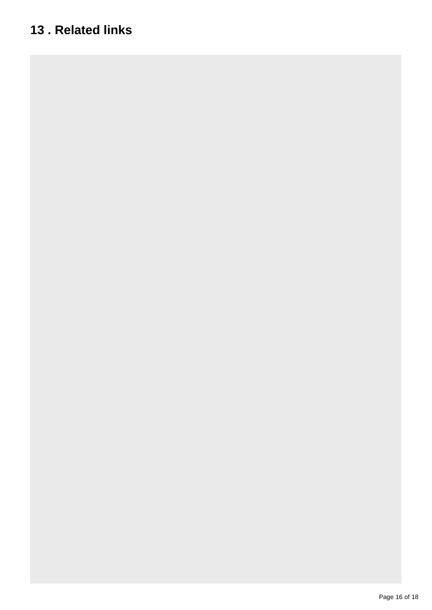# <span id="page-15-0"></span>**13 . Related links**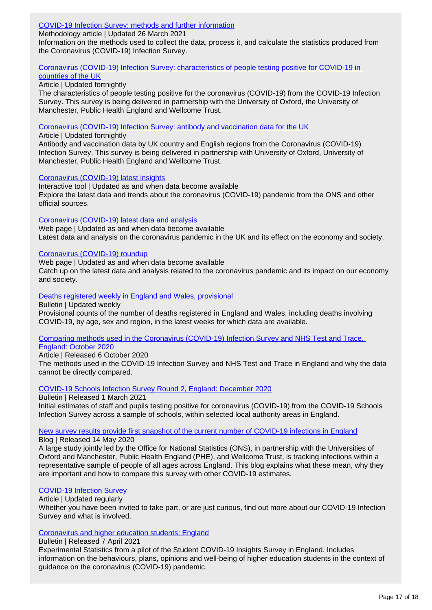### [COVID-19 Infection Survey: methods and further information](https://www.ons.gov.uk/peoplepopulationandcommunity/healthandsocialcare/conditionsanddiseases/methodologies/covid19infectionsurveypilotmethodsandfurtherinformation)

Methodology article | Updated 26 March 2021

Information on the methods used to collect the data, process it, and calculate the statistics produced from the Coronavirus (COVID-19) Infection Survey.

### [Coronavirus \(COVID-19\) Infection Survey: characteristics of people testing positive for COVID-19 in](https://www.ons.gov.uk/peoplepopulationandcommunity/healthandsocialcare/conditionsanddiseases/articles/coronaviruscovid19infectionsinthecommunityinengland/characteristicsofpeopletestingpositiveforcovid19incountriesoftheuk22april2021)

## [countries of the UK](https://www.ons.gov.uk/peoplepopulationandcommunity/healthandsocialcare/conditionsanddiseases/articles/coronaviruscovid19infectionsinthecommunityinengland/characteristicsofpeopletestingpositiveforcovid19incountriesoftheuk22april2021)

Article | Updated fortnightly

The characteristics of people testing positive for the coronavirus (COVID-19) from the COVID-19 Infection Survey. This survey is being delivered in partnership with the University of Oxford, the University of Manchester, Public Health England and Wellcome Trust.

[Coronavirus \(COVID-19\) Infection Survey: antibody and vaccination data for the UK](https://www.ons.gov.uk/peoplepopulationandcommunity/healthandsocialcare/conditionsanddiseases/articles/coronaviruscovid19infectionsurveyantibodydatafortheuk/latest)

Article | Updated fortnightly

Antibody and vaccination data by UK country and English regions from the Coronavirus (COVID-19) Infection Survey. This survey is being delivered in partnership with University of Oxford, University of Manchester, Public Health England and Wellcome Trust.

#### [Coronavirus \(COVID-19\) latest insights](https://www.ons.gov.uk/peoplepopulationandcommunity/healthandsocialcare/conditionsanddiseases/articles/coronaviruscovid19/latestinsights)

Interactive tool | Updated as and when data become available Explore the latest data and trends about the coronavirus (COVID-19) pandemic from the ONS and other official sources.

#### [Coronavirus \(COVID-19\) latest data and analysis](https://www.ons.gov.uk/peoplepopulationandcommunity/healthandsocialcare/conditionsanddiseases)

Web page | Updated as and when data become available Latest data and analysis on the coronavirus pandemic in the UK and its effect on the economy and society.

#### [Coronavirus \(COVID-19\) roundup](https://www.ons.gov.uk/peoplepopulationandcommunity/healthandsocialcare/conditionsanddiseases/articles/coronaviruscovid19roundup/2020-03-26)

Web page | Updated as and when data become available

Catch up on the latest data and analysis related to the coronavirus pandemic and its impact on our economy and society.

#### [Deaths registered weekly in England and Wales, provisional](https://www.ons.gov.uk/peoplepopulationandcommunity/birthsdeathsandmarriages/deaths/bulletins/deathsregisteredweeklyinenglandandwalesprovisional/latest)

Bulletin | Updated weekly

Provisional counts of the number of deaths registered in England and Wales, including deaths involving COVID-19, by age, sex and region, in the latest weeks for which data are available.

### [Comparing methods used in the Coronavirus \(COVID-19\) Infection Survey and NHS Test and Trace,](https://www.ons.gov.uk/peoplepopulationandcommunity/healthandsocialcare/conditionsanddiseases/articles/comparingmethodsusedinthecoronaviruscovid19infectionsurveyandnhstestandtraceengland/october2020)

### [England: October 2020](https://www.ons.gov.uk/peoplepopulationandcommunity/healthandsocialcare/conditionsanddiseases/articles/comparingmethodsusedinthecoronaviruscovid19infectionsurveyandnhstestandtraceengland/october2020)

Article | Released 6 October 2020

The methods used in the COVID-19 Infection Survey and NHS Test and Trace in England and why the data cannot be directly compared.

### [COVID-19 Schools Infection Survey Round 2, England: December 2020](https://www.ons.gov.uk/peoplepopulationandcommunity/healthandsocialcare/conditionsanddiseases/bulletins/covid19schoolsinfectionsurveyround2england/december2020)

Bulletin | Released 1 March 2021

Initial estimates of staff and pupils testing positive for coronavirus (COVID-19) from the COVID-19 Schools Infection Survey across a sample of schools, within selected local authority areas in England.

# [New survey results provide first snapshot of the current number of COVID-19 infections in England](https://blog.ons.gov.uk/2020/05/14/new-survey-results-provide-first-snapshot-of-the-current-number-of-covid-19-infections-in-england/)

Blog | Released 14 May 2020

A large study jointly led by the Office for National Statistics (ONS), in partnership with the Universities of Oxford and Manchester, Public Health England (PHE), and Wellcome Trust, is tracking infections within a representative sample of people of all ages across England. This blog explains what these mean, why they are important and how to compare this survey with other COVID-19 estimates.

### [COVID-19 Infection Survey](https://blog.ons.gov.uk/2020/05/14/new-survey-results-provide-first-snapshot-of-the-current-number-of-covid-19-infections-in-england/)

Article | Updated regularly

Whether you have been invited to take part, or are just curious, find out more about our COVID-19 Infection Survey and what is involved.

### [Coronavirus and higher education students: England](https://www.ons.gov.uk/peoplepopulationandcommunity/healthandsocialcare/healthandwellbeing/bulletins/coronavirusandhighereducationstudents/latest)

#### Bulletin | Released 7 April 2021

Experimental Statistics from a pilot of the Student COVID-19 Insights Survey in England. Includes information on the behaviours, plans, opinions and well-being of higher education students in the context of guidance on the coronavirus (COVID-19) pandemic.